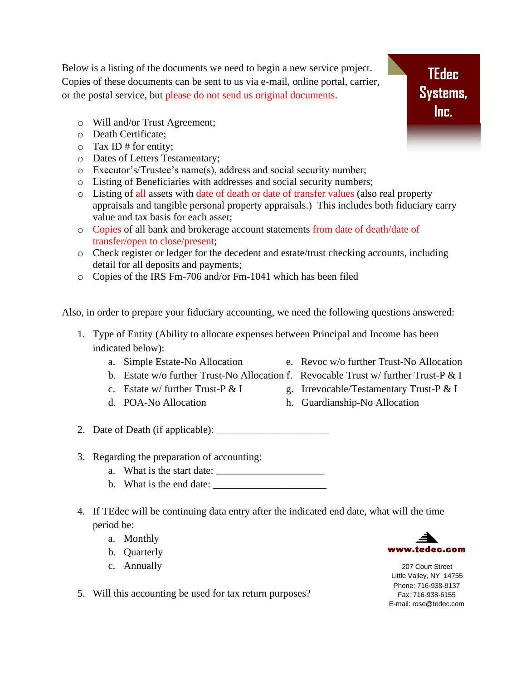Below is a listing of the documents we need to begin a new service project. Copies of these documents can be sent to us via e-mail, online portal, carrier, or the postal service, but please do not send us original documents.

- o Will and/or Trust Agreement;
- o Death Certificate;
- $\circ$  Tax ID # for entity;
- o Dates of Letters Testamentary;
- o Executor's/Trustee's name(s), address and social security number;
- o Listing of Beneficiaries with addresses and social security numbers;
- o Listing of all assets with date of death or date of transfer values (also real property appraisals and tangible personal property appraisals.) This includes both fiduciary carry value and tax basis for each asset;
- o Copies of all bank and brokerage account statements from date of death/date of transfer/open to close/present;
- o Check register or ledger for the decedent and estate/trust checking accounts, including detail for all deposits and payments;
- o Copies of the IRS Fm-706 and/or Fm-1041 which has been filed

Also, in order to prepare your fiduciary accounting, we need the following questions answered:

- 1. Type of Entity (Ability to allocate expenses between Principal and Income has been indicated below):
	-
	- b. Estate w/o further Trust-No Allocation f. Revocable Trust w/ further Trust-P & I
	-
	-
	- a. Simple Estate-No Allocation e. Revoc w/o further Trust-No Allocation
		-
	- c. Estate w/ further Trust-P  $& 1$  g. Irrevocable/Testamentary Trust-P  $& 1$
	- d. POA-No Allocation h. Guardianship-No Allocation
- 2. Date of Death (if applicable): \_\_\_\_\_\_\_\_\_\_\_\_\_\_\_\_\_\_\_\_\_\_
- 3. Regarding the preparation of accounting:
	- a. What is the start date:  $\frac{1}{\sqrt{1-\frac{1}{2}}}\left\lceil \frac{1}{2}\right\rceil$
	- b. What is the end date: \_\_\_\_\_\_\_\_\_\_\_\_\_\_\_\_\_\_\_\_\_\_
- 4. If TEdec will be continuing data entry after the indicated end date, what will the time period be:
	- a. Monthly
	- b. Quarterly
	- c. Annually
- 5. Will this accounting be used for tax return purposes?



207 Court Street Little Valley, NY 14755 Phone: 716-938-9137 Fax: 716-938-6155 E-mail: rose@tedec.com

**TEdec Systems, Inc.**